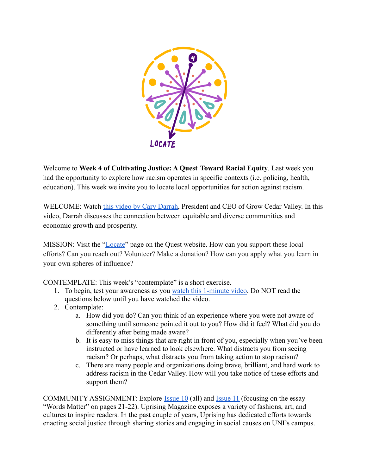

Welcome to **Week 4 of Cultivating Justice: A Quest Toward Racial Equity**. Last week you had the opportunity to explore how racism operates in specific contexts (i.e. policing, health, education). This week we invite you to locate local opportunities for action against racism.

WELCOME: Watch [this video by Cary Darrah,](https://youtu.be/VEkcfHuCO0c) President and CEO of Grow Cedar Valley. In this video, Darrah discusses the connection between equitable and diverse communities and economic growth and prosperity.

MISSION: Visit the ["Locate"](https://quest.uni.edu/locate) page on the Quest website. How can you support these local efforts? Can you reach out? Volunteer? Make a donation? How can you apply what you learn in your own spheres of influence?

CONTEMPLATE: This week's "contemplate" is a short exercise.

- 1. To begin, test your awareness as you [watch this 1-minute](https://www.youtube.com/watch?v=Ahg6qcgoay4) video. Do NOT read the questions below until you have watched the video.
- 2. Contemplate:
	- a. How did you do? Can you think of an experience where you were not aware of something until someone pointed it out to you? How did it feel? What did you do differently after being made aware?
	- b. It is easy to miss things that are right in front of you, especially when you've been instructed or have learned to look elsewhere. What distracts you from seeing racism? Or perhaps, what distracts you from taking action to stop racism?
	- c. There are many people and organizations doing brave, brilliant, and hard work to address racism in the Cedar Valley. How will you take notice of these efforts and support them?

COMMUNITY ASSIGNMENT: Explore [Issue 10](http://www.jointheuprisingmagazine.com/uploads/1/1/2/0/112022157/uprising_issue_10_fall_2020.pdf) (all) and [Issue](https://drive.google.com/open?id=1T1CQXNH-y6_p0xHZUGf_eLwqxkL0VrbZ) 11 (focusing on the essay "Words Matter" on pages 21-22). Uprising Magazine exposes a variety of fashions, art, and cultures to inspire readers. In the past couple of years, Uprising has dedicated efforts towards enacting social justice through sharing stories and engaging in social causes on UNI's campus.